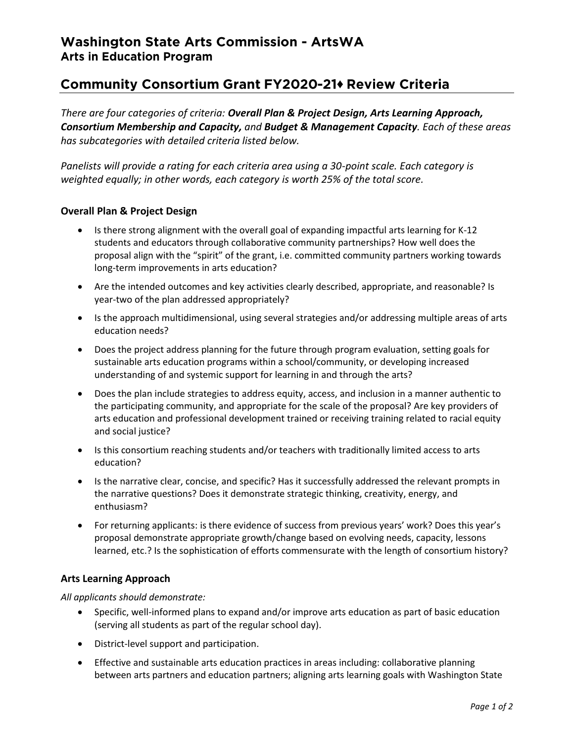# Community Consortium Grant FY2020-21+ Review Criteria

*There are four categories of criteria: Overall Plan & Project Design, Arts Learning Approach, Consortium Membership and Capacity, and Budget & Management Capacity. Each of these areas has subcategories with detailed criteria listed below.* 

*Panelists will provide a rating for each criteria area using a 30-point scale. Each category is weighted equally; in other words, each category is worth 25% of the total score.* 

# **Overall Plan & Project Design**

- Is there strong alignment with the overall goal of expanding impactful arts learning for K-12 students and educators through collaborative community partnerships? How well does the proposal align with the "spirit" of the grant, i.e. committed community partners working towards long-term improvements in arts education?
- Are the intended outcomes and key activities clearly described, appropriate, and reasonable? Is year-two of the plan addressed appropriately?
- Is the approach multidimensional, using several strategies and/or addressing multiple areas of arts education needs?
- Does the project address planning for the future through program evaluation, setting goals for sustainable arts education programs within a school/community, or developing increased understanding of and systemic support for learning in and through the arts?
- Does the plan include strategies to address equity, access, and inclusion in a manner authentic to the participating community, and appropriate for the scale of the proposal? Are key providers of arts education and professional development trained or receiving training related to racial equity and social justice?
- Is this consortium reaching students and/or teachers with traditionally limited access to arts education?
- Is the narrative clear, concise, and specific? Has it successfully addressed the relevant prompts in the narrative questions? Does it demonstrate strategic thinking, creativity, energy, and enthusiasm?
- For returning applicants: is there evidence of success from previous years' work? Does this year's proposal demonstrate appropriate growth/change based on evolving needs, capacity, lessons learned, etc.? Is the sophistication of efforts commensurate with the length of consortium history?

# **Arts Learning Approach**

*All applicants should demonstrate:*

- Specific, well-informed plans to expand and/or improve arts education as part of basic education (serving all students as part of the regular school day).
- District-level support and participation.
- Effective and sustainable arts education practices in areas including: collaborative planning between arts partners and education partners; aligning arts learning goals with Washington State